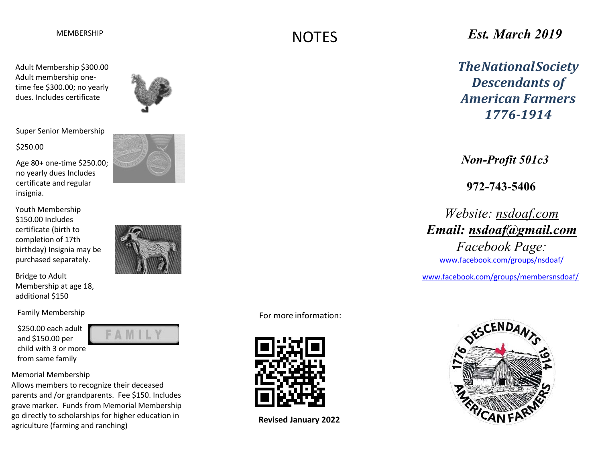Adult Membership \$300.00 Adult membership onetime fee \$300.00; no yearly dues. Includes certificate



Super Senior Membership

#### \$250.00

Age 80+ one-time \$250.00; no yearly dues Includes certificate and regular insignia.

Youth Membership \$150.00 Includes certificate (birth to completion of 17th birthday) Insignia may be purchased separately.

Bridge to Adult Membership at age 18, additional \$150

Family Membership

\$250.00 each adult and \$150.00 per [child with 3 or more](mailto:nsdoaf@gmail.com) from same family

#### Memorial Membership

Allows members to recognize their deceased parents and /or grandparents. Fee \$150. Includes grave marker. Funds from Memorial Membership go directly to scholarships for higher education in agriculture (farming and ranching)

AMIL



For more information:

**NOTES** 



**Revised January 2022**

# *Est. March 2019*

*TheNationalSociety Descendants of American Farmers 1776-1914*

*Non-Profit 501c3*

**972-743-5406**

*Website: nsdoaf.com Email: [n](mailto:nsdoaf@gmail.com)[sdoaf@gmail.com](mailto:sdoaf@gmail.com) Facebook Page:*  [www.facebook.com/groups/nsdoaf/](http://www.facebook.com/groups/nsdoaf/)

[www.facebook.com/groups/membersnsdoaf/](http://www.facebook.com/groups/membersnsdoaf/)